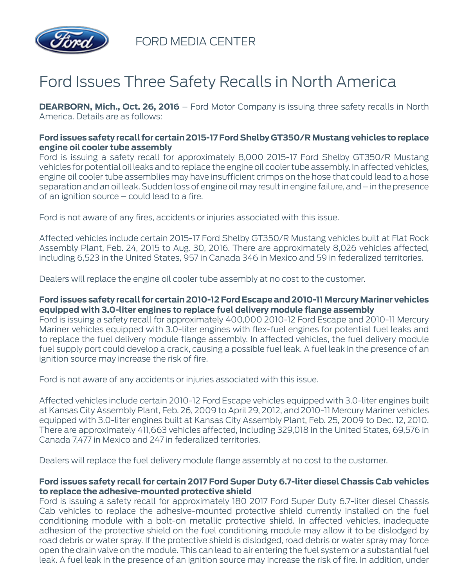

FORD MEDIA CENTER

# Ford Issues Three Safety Recalls in North America

**DEARBORN, Mich., Oct. 26, 2016** – Ford Motor Company is issuing three safety recalls in North America. Details are as follows:

#### **Ford issues safety recall for certain 2015-17 Ford Shelby GT350/R Mustang vehicles to replace engine oil cooler tube assembly**

Ford is issuing a safety recall for approximately 8,000 2015-17 Ford Shelby GT350/R Mustang vehicles for potential oil leaks and to replace the engine oil cooler tube assembly. In affected vehicles, engine oil cooler tube assemblies may have insufficient crimps on the hose that could lead to a hose separation and an oil leak. Sudden loss of engine oil may result in engine failure, and – in the presence of an ignition source – could lead to a fire.

Ford is not aware of any fires, accidents or injuries associated with this issue.

Affected vehicles include certain 2015-17 Ford Shelby GT350/R Mustang vehicles built at Flat Rock Assembly Plant, Feb. 24, 2015 to Aug. 30, 2016. There are approximately 8,026 vehicles affected, including 6,523 in the United States, 957 in Canada 346 in Mexico and 59 in federalized territories.

Dealers will replace the engine oil cooler tube assembly at no cost to the customer.

## **Ford issues safety recall for certain 2010-12 Ford Escape and 2010-11 Mercury Mariner vehicles equipped with 3.0-liter engines to replace fuel delivery module flange assembly**

Ford is issuing a safety recall for approximately 400,000 2010-12 Ford Escape and 2010-11 Mercury Mariner vehicles equipped with 3.0-liter engines with flex-fuel engines for potential fuel leaks and to replace the fuel delivery module flange assembly. In affected vehicles, the fuel delivery module fuel supply port could develop a crack, causing a possible fuel leak. A fuel leak in the presence of an ignition source may increase the risk of fire.

Ford is not aware of any accidents or injuries associated with this issue.

Affected vehicles include certain 2010-12 Ford Escape vehicles equipped with 3.0-liter engines built at Kansas City Assembly Plant, Feb. 26, 2009 to April 29, 2012, and 2010-11 Mercury Mariner vehicles equipped with 3.0-liter engines built at Kansas City Assembly Plant, Feb. 25, 2009 to Dec. 12, 2010. There are approximately 411,663 vehicles affected, including 329,018 in the United States, 69,576 in Canada 7,477 in Mexico and 247 in federalized territories.

Dealers will replace the fuel delivery module flange assembly at no cost to the customer.

#### **Ford issues safety recall for certain 2017 Ford Super Duty 6.7-liter diesel Chassis Cab vehicles to replace the adhesive-mounted protective shield**

Ford is issuing a safety recall for approximately 180 2017 Ford Super Duty 6.7-liter diesel Chassis Cab vehicles to replace the adhesive-mounted protective shield currently installed on the fuel conditioning module with a bolt-on metallic protective shield. In affected vehicles, inadequate adhesion of the protective shield on the fuel conditioning module may allow it to be dislodged by road debris or water spray. If the protective shield is dislodged, road debris or water spray may force open the drain valve on the module. This can lead to air entering the fuel system or a substantial fuel leak. A fuel leak in the presence of an ignition source may increase the risk of fire. In addition, under